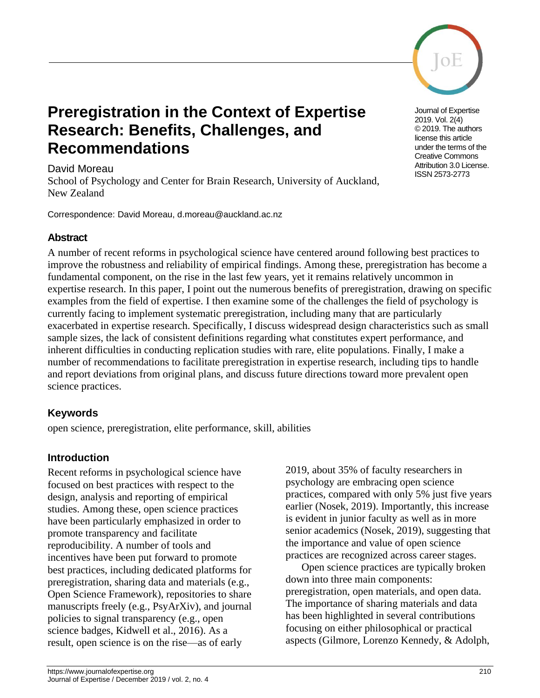

# **Preregistration in the Context of Expertise Research: Benefits, Challenges, and Recommendations**

#### David Moreau

School of Psychology and Center for Brain Research, University of Auckland, New Zealand

Correspondence: David Moreau, d.moreau@auckland.ac.nz

### **Abstract**

A number of recent reforms in psychological science have centered around following best practices to improve the robustness and reliability of empirical findings. Among these, preregistration has become a fundamental component, on the rise in the last few years, yet it remains relatively uncommon in expertise research. In this paper, I point out the numerous benefits of preregistration, drawing on specific examples from the field of expertise. I then examine some of the challenges the field of psychology is currently facing to implement systematic preregistration, including many that are particularly exacerbated in expertise research. Specifically, I discuss widespread design characteristics such as small sample sizes, the lack of consistent definitions regarding what constitutes expert performance, and inherent difficulties in conducting replication studies with rare, elite populations. Finally, I make a number of recommendations to facilitate preregistration in expertise research, including tips to handle and report deviations from original plans, and discuss future directions toward more prevalent open science practices.

# **Keywords**

open science, preregistration, elite performance, skill, abilities

# **Introduction**

Recent reforms in psychological science have focused on best practices with respect to the design, analysis and reporting of empirical studies. Among these, open science practices have been particularly emphasized in order to promote transparency and facilitate reproducibility. A number of tools and incentives have been put forward to promote best practices, including dedicated platforms for preregistration, sharing data and materials (e.g., Open Science Framework), repositories to share manuscripts freely (e.g., PsyArXiv), and journal policies to signal transparency (e.g., open science badges, Kidwell et al., 2016). As a result, open science is on the rise—as of early

2019, about 35% of faculty researchers in psychology are embracing open science practices, compared with only 5% just five years earlier [\(Nosek, 2019\).](https://paperpile.com/c/xfh0MJ/PVKr) Importantly, this increase is evident in junior faculty as well as in more senior academics [\(Nosek, 2019\),](https://paperpile.com/c/xfh0MJ/PVKr) suggesting that the importance and value of open science practices are recognized across career stages.

Open science practices are typically broken down into three main components: preregistration, open materials, and open data. The importance of sharing materials and data has been highlighted in several contributions focusing on either philosophical or practical aspects [\(Gilmore, Lorenzo Kennedy, & Adolph,](https://paperpile.com/c/xfh0MJ/0PZe+3G88+bIjB+h833) 

Journal of Expertise 2019. Vol. 2(4) © 2019. The authors license this article under the terms of the Creative Commons Attribution 3.0 License. ISSN 2573-2773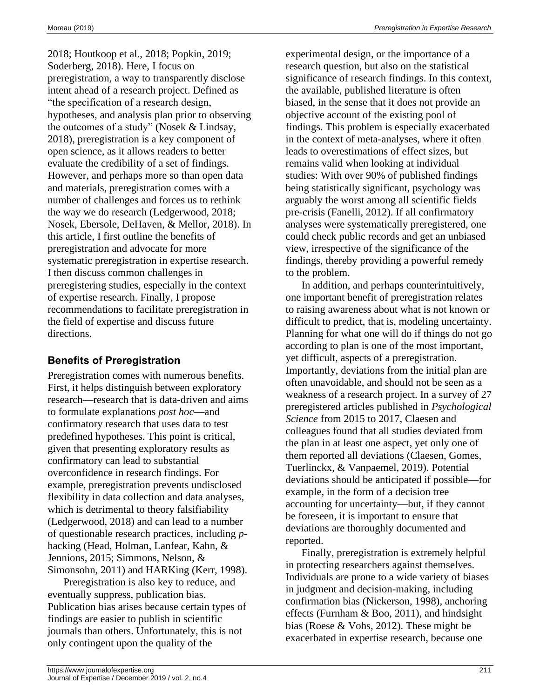[2018; Houtkoop et al., 2018; Popkin, 2019;](https://paperpile.com/c/xfh0MJ/0PZe+3G88+bIjB+h833)  [Soderberg, 2018\).](https://paperpile.com/c/xfh0MJ/0PZe+3G88+bIjB+h833) Here, I focus on preregistration, a way to transparently disclose intent ahead of a research project. Defined as "the specification of a research design, hypotheses, and analysis plan prior to observing the outcomes of a study" [\(Nosek & Lindsay,](https://paperpile.com/c/xfh0MJ/OAao)  [2018\),](https://paperpile.com/c/xfh0MJ/OAao) preregistration is a key component of open science, as it allows readers to better evaluate the credibility of a set of findings. However, and perhaps more so than open data and materials, preregistration comes with a number of challenges and forces us to rethink the way we do research [\(Ledgerwood, 2018;](https://paperpile.com/c/xfh0MJ/u7Nz+qMiN)  [Nosek, Ebersole, DeHaven, & Mellor, 2018\).](https://paperpile.com/c/xfh0MJ/u7Nz+qMiN) In this article, I first outline the benefits of preregistration and advocate for more systematic preregistration in expertise research. I then discuss common challenges in preregistering studies, especially in the context of expertise research. Finally, I propose recommendations to facilitate preregistration in the field of expertise and discuss future directions.

# **Benefits of Preregistration**

Preregistration comes with numerous benefits. First, it helps distinguish between exploratory research—research that is data-driven and aims to formulate explanations *post hoc*—and confirmatory research that uses data to test predefined hypotheses. This point is critical, given that presenting exploratory results as confirmatory can lead to substantial overconfidence in research findings. For example, preregistration prevents undisclosed flexibility in data collection and data analyses, which is detrimental to theory falsifiability (Ledgerwood, 2018) and can lead to a number of questionable research practices, including *p*hacking (Head, Holman, Lanfear, Kahn, & Jennions, 2015; Simmons, Nelson, & Simonsohn, 2011) and HARKing (Kerr, 1998).

Preregistration is also key to reduce, and eventually suppress, publication bias. Publication bias arises because certain types of findings are easier to publish in scientific journals than others. Unfortunately, this is not only contingent upon the quality of the

experimental design, or the importance of a research question, but also on the statistical significance of research findings. In this context, the available, published literature is often biased, in the sense that it does not provide an objective account of the existing pool of findings. This problem is especially exacerbated in the context of meta-analyses, where it often leads to overestimations of effect sizes, but remains valid when looking at individual studies: With over 90% of published findings being statistically significant, psychology was arguably the worst among all scientific fields pre-crisis [\(Fanelli, 2012\).](https://paperpile.com/c/xfh0MJ/oTIJ) If all confirmatory analyses were systematically preregistered, one could check public records and get an unbiased view, irrespective of the significance of the findings, thereby providing a powerful remedy to the problem.

In addition, and perhaps counterintuitively, one important benefit of preregistration relates to raising awareness about what is not known or difficult to predict, that is, modeling uncertainty. Planning for what one will do if things do not go according to plan is one of the most important, yet difficult, aspects of a preregistration. Importantly, deviations from the initial plan are often unavoidable, and should not be seen as a weakness of a research project. In a survey of 27 preregistered articles published in *Psychological Science* from 2015 to 2017, Claesen and colleagues found that all studies deviated from the plan in at least one aspect, yet only one of them reported all deviations [\(Claesen, Gomes,](https://paperpile.com/c/xfh0MJ/HcIwe)  [Tuerlinckx, & Vanpaemel, 2019\).](https://paperpile.com/c/xfh0MJ/HcIwe) Potential deviations should be anticipated if possible—for example, in the form of a decision tree accounting for uncertainty—but, if they cannot be foreseen, it is important to ensure that deviations are thoroughly documented and reported.

Finally, preregistration is extremely helpful in protecting researchers against themselves. Individuals are prone to a wide variety of biases in judgment and decision-making, including confirmation bias [\(Nickerson, 1998\),](https://paperpile.com/c/xfh0MJ/cTxd) anchoring effects [\(Furnham & Boo, 2011\),](https://paperpile.com/c/xfh0MJ/Rxkn) and hindsight bias [\(Roese & Vohs, 2012\).](https://paperpile.com/c/xfh0MJ/tCPk) These might be exacerbated in expertise research, because one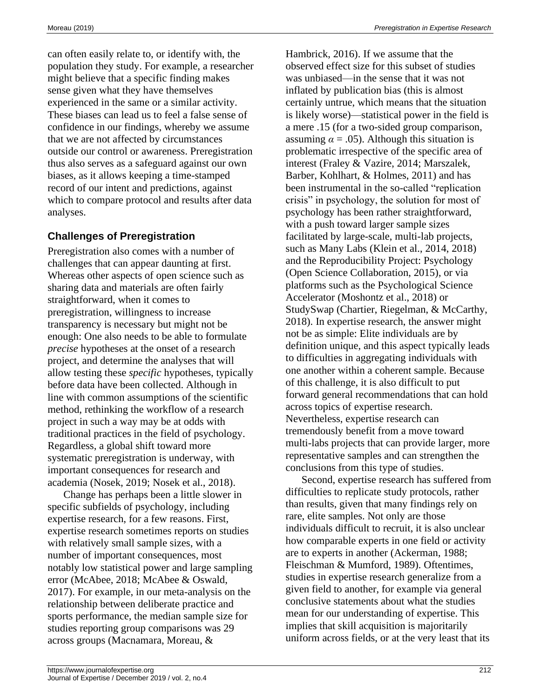can often easily relate to, or identify with, the population they study. For example, a researcher might believe that a specific finding makes sense given what they have themselves experienced in the same or a similar activity. These biases can lead us to feel a false sense of confidence in our findings, whereby we assume that we are not affected by circumstances outside our control or awareness. Preregistration thus also serves as a safeguard against our own biases, as it allows keeping a time-stamped record of our intent and predictions, against which to compare protocol and results after data analyses.

# **Challenges of Preregistration**

Preregistration also comes with a number of challenges that can appear daunting at first. Whereas other aspects of open science such as sharing data and materials are often fairly straightforward, when it comes to preregistration, willingness to increase transparency is necessary but might not be enough: One also needs to be able to formulate *precise* hypotheses at the onset of a research project, and determine the analyses that will allow testing these *specific* hypotheses, typically before data have been collected. Although in line with common assumptions of the scientific method, rethinking the workflow of a research project in such a way may be at odds with traditional practices in the field of psychology. Regardless, a global shift toward more systematic preregistration is underway, with important consequences for research and academia [\(Nosek, 2019; Nosek et al., 2018\).](https://paperpile.com/c/xfh0MJ/u7Nz+PVKr)

Change has perhaps been a little slower in specific subfields of psychology, including expertise research, for a few reasons. First, expertise research sometimes reports on studies with relatively small sample sizes, with a number of important consequences, most notably low statistical power and large sampling error [\(McAbee, 2018; McAbee & Oswald,](https://paperpile.com/c/xfh0MJ/VG0R+lpIn)  [2017\).](https://paperpile.com/c/xfh0MJ/VG0R+lpIn) For example, in our meta-analysis on the relationship between deliberate practice and sports performance, the median sample size for studies reporting group comparisons was 29 across groups [\(Macnamara, Moreau, &](https://paperpile.com/c/xfh0MJ/eFMq) 

[Hambrick, 2016\).](https://paperpile.com/c/xfh0MJ/eFMq) If we assume that the observed effect size for this subset of studies was unbiased—in the sense that it was not inflated by publication bias (this is almost certainly untrue, which means that the situation is likely worse)—statistical power in the field is a mere .15 (for a two-sided group comparison, assuming  $\alpha = .05$ ). Although this situation is problematic irrespective of the specific area of interest [\(Fraley & Vazire, 2014; Marszalek,](https://paperpile.com/c/xfh0MJ/1oQ2+KLI1)  [Barber, Kohlhart, & Holmes, 2011\)](https://paperpile.com/c/xfh0MJ/1oQ2+KLI1) and has been instrumental in the so-called "replication crisis" in psychology, the solution for most of psychology has been rather straightforward, with a push toward larger sample sizes facilitated by large-scale, multi-lab projects, such as Many Labs [\(Klein et al., 2014, 2018\)](https://paperpile.com/c/xfh0MJ/3v5U+W81g) and the Reproducibility Project: Psychology [\(Open Science Collaboration, 2015\),](https://paperpile.com/c/xfh0MJ/xA8T) or via platforms such as the Psychological Science Accelerator [\(Moshontz et al., 2018\)](https://paperpile.com/c/xfh0MJ/u1iI) or StudySwap [\(Chartier, Riegelman, & McCarthy,](https://paperpile.com/c/xfh0MJ/AWMb)  [2018\).](https://paperpile.com/c/xfh0MJ/AWMb) In expertise research, the answer might not be as simple: Elite individuals are by definition unique, and this aspect typically leads to difficulties in aggregating individuals with one another within a coherent sample. Because of this challenge, it is also difficult to put forward general recommendations that can hold across topics of expertise research. Nevertheless, expertise research can tremendously benefit from a move toward multi-labs projects that can provide larger, more representative samples and can strengthen the conclusions from this type of studies.

Second, expertise research has suffered from difficulties to replicate study protocols, rather than results, given that many findings rely on rare, elite samples. Not only are those individuals difficult to recruit, it is also unclear how comparable experts in one field or activity are to experts in another [\(Ackerman, 1988;](https://paperpile.com/c/xfh0MJ/Rq0A+WPo5)  [Fleischman & Mumford, 1989\).](https://paperpile.com/c/xfh0MJ/Rq0A+WPo5) Oftentimes, studies in expertise research generalize from a given field to another, for example via general conclusive statements about what the studies mean for our understanding of expertise. This implies that skill acquisition is majoritarily uniform across fields, or at the very least that its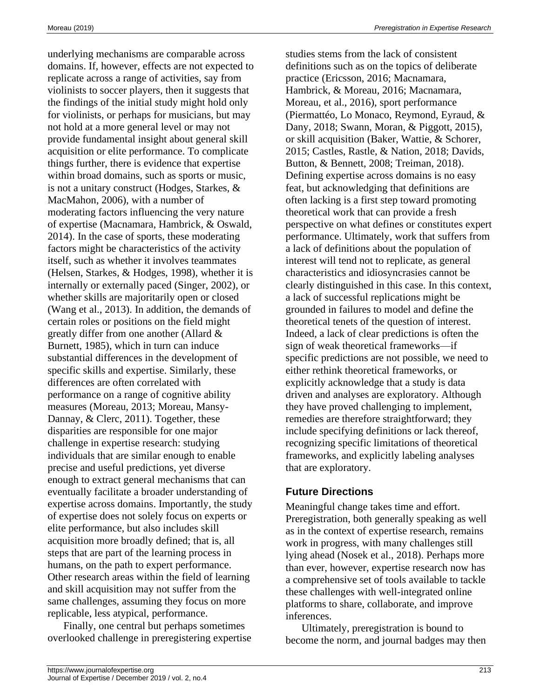underlying mechanisms are comparable across domains. If, however, effects are not expected to replicate across a range of activities, say from violinists to soccer players, then it suggests that the findings of the initial study might hold only for violinists, or perhaps for musicians, but may not hold at a more general level or may not provide fundamental insight about general skill acquisition or elite performance. To complicate things further, there is evidence that expertise within broad domains, such as sports or music, is not a unitary construct [\(Hodges, Starkes, &](https://paperpile.com/c/xfh0MJ/n9S0)  [MacMahon, 2006\),](https://paperpile.com/c/xfh0MJ/n9S0) with a number of moderating factors influencing the very nature of expertise [\(Macnamara, Hambrick, & Oswald,](https://paperpile.com/c/xfh0MJ/CcC1)  [2014\).](https://paperpile.com/c/xfh0MJ/CcC1) In the case of sports, these moderating factors might be characteristics of the activity itself, such as whether it involves teammates [\(Helsen, Starkes, & Hodges, 1998\),](https://paperpile.com/c/xfh0MJ/cTA9) whether it is internally or externally paced [\(Singer, 2002\),](https://paperpile.com/c/xfh0MJ/3b1c) or whether skills are majoritarily open or closed [\(Wang et al., 2013\).](https://paperpile.com/c/xfh0MJ/4yDm) In addition, the demands of certain roles or positions on the field might greatly differ from one another [\(Allard &](https://paperpile.com/c/xfh0MJ/EqVj)  [Burnett, 1985\),](https://paperpile.com/c/xfh0MJ/EqVj) which in turn can induce substantial differences in the development of specific skills and expertise. Similarly, these differences are often correlated with performance on a range of cognitive ability measures [\(Moreau, 2013; Moreau, Mansy-](https://paperpile.com/c/xfh0MJ/kL5S+No6E)[Dannay, & Clerc, 2011\).](https://paperpile.com/c/xfh0MJ/kL5S+No6E) Together, these disparities are responsible for one major challenge in expertise research: studying individuals that are similar enough to enable precise and useful predictions, yet diverse enough to extract general mechanisms that can eventually facilitate a broader understanding of expertise across domains. Importantly, the study of expertise does not solely focus on experts or elite performance, but also includes skill acquisition more broadly defined; that is, all steps that are part of the learning process in humans, on the path to expert performance. Other research areas within the field of learning and skill acquisition may not suffer from the same challenges, assuming they focus on more replicable, less atypical, performance.

Finally, one central but perhaps sometimes overlooked challenge in preregistering expertise studies stems from the lack of consistent definitions such as on the topics of deliberate practice [\(Ericsson, 2016; Macnamara,](https://paperpile.com/c/xfh0MJ/eFMq+x0BZ+ICDI)  [Hambrick, & Moreau, 2016; Macnamara,](https://paperpile.com/c/xfh0MJ/eFMq+x0BZ+ICDI)  [Moreau, et al., 2016\),](https://paperpile.com/c/xfh0MJ/eFMq+x0BZ+ICDI) sport performance [\(Piermattéo, Lo Monaco, Reymond, Eyraud, &](https://paperpile.com/c/xfh0MJ/SfVZ+uC9Z)  [Dany, 2018; Swann, Moran, & Piggott, 2015\),](https://paperpile.com/c/xfh0MJ/SfVZ+uC9Z) or skill acquisition [\(Baker, Wattie, & Schorer,](https://paperpile.com/c/xfh0MJ/UQ2z+gc20+et8W+h46W)  [2015; Castles, Rastle, & Nation, 2018; Davids,](https://paperpile.com/c/xfh0MJ/UQ2z+gc20+et8W+h46W)  [Button, & Bennett, 2008; Treiman, 2018\).](https://paperpile.com/c/xfh0MJ/UQ2z+gc20+et8W+h46W) Defining expertise across domains is no easy feat, but acknowledging that definitions are often lacking is a first step toward promoting theoretical work that can provide a fresh perspective on what defines or constitutes expert performance. Ultimately, work that suffers from a lack of definitions about the population of interest will tend not to replicate, as general characteristics and idiosyncrasies cannot be clearly distinguished in this case. In this context, a lack of successful replications might be grounded in failures to model and define the theoretical tenets of the question of interest. Indeed, a lack of clear predictions is often the sign of weak theoretical frameworks—if specific predictions are not possible, we need to either rethink theoretical frameworks, or explicitly acknowledge that a study is data driven and analyses are exploratory. Although they have proved challenging to implement, remedies are therefore straightforward; they include specifying definitions or lack thereof, recognizing specific limitations of theoretical frameworks, and explicitly labeling analyses that are exploratory.

#### **Future Directions**

Meaningful change takes time and effort. Preregistration, both generally speaking as well as in the context of expertise research, remains work in progress, with many challenges still lying ahead [\(Nosek et al., 2018\).](https://paperpile.com/c/xfh0MJ/u7Nz) Perhaps more than ever, however, expertise research now has a comprehensive set of tools available to tackle these challenges with well-integrated online platforms to share, collaborate, and improve inferences.

Ultimately, preregistration is bound to become the norm, and journal badges may then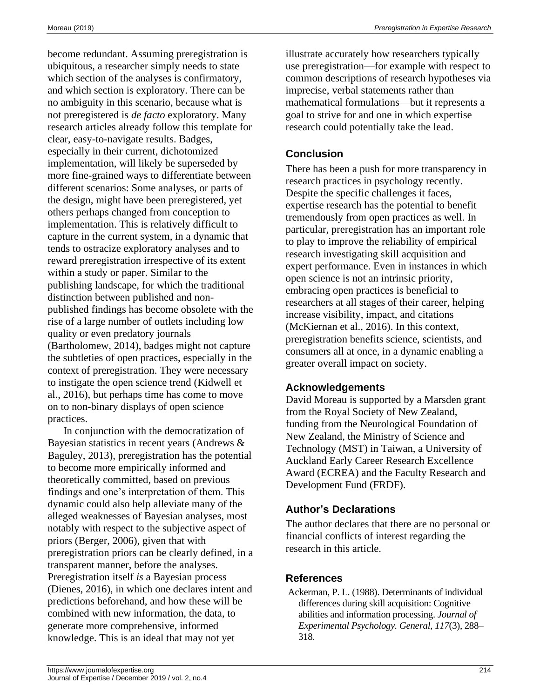become redundant. Assuming preregistration is ubiquitous, a researcher simply needs to state which section of the analyses is confirmatory, and which section is exploratory. There can be no ambiguity in this scenario, because what is not preregistered is *de facto* exploratory. Many research articles already follow this template for clear, easy-to-navigate results. Badges, especially in their current, dichotomized implementation, will likely be superseded by more fine-grained ways to differentiate between different scenarios: Some analyses, or parts of the design, might have been preregistered, yet others perhaps changed from conception to implementation. This is relatively difficult to capture in the current system, in a dynamic that tends to ostracize exploratory analyses and to reward preregistration irrespective of its extent within a study or paper. Similar to the publishing landscape, for which the traditional distinction between published and nonpublished findings has become obsolete with the rise of a large number of outlets including low quality or even predatory journals [\(Bartholomew,](https://paperpile.com/c/xfh0MJ/qzYv) 2014), badges might not capture the subtleties of open practices, especially in the context of preregistration. They were necessary to instigate the open science trend [\(Kidwell et](https://paperpile.com/c/xfh0MJ/YGr8)  [al., 2016\),](https://paperpile.com/c/xfh0MJ/YGr8) but perhaps time has come to move on to non-binary displays of open science practices.

In conjunction with the democratization of Bayesian statistics in recent years [\(Andrews &](https://paperpile.com/c/xfh0MJ/qZSR)  [Baguley, 2013\),](https://paperpile.com/c/xfh0MJ/qZSR) preregistration has the potential to become more empirically informed and theoretically committed, based on previous findings and one's interpretation of them. This dynamic could also help alleviate many of the alleged weaknesses of Bayesian analyses, most notably with respect to the subjective aspect of priors [\(Berger, 2006\),](https://paperpile.com/c/xfh0MJ/xo37) given that with preregistration priors can be clearly defined, in a transparent manner, before the analyses. Preregistration itself *is* a Bayesian process [\(Dienes, 2016\),](https://paperpile.com/c/xfh0MJ/G2Tn) in which one declares intent and predictions beforehand, and how these will be combined with new information, the data, to generate more comprehensive, informed knowledge. This is an ideal that may not yet

illustrate accurately how researchers typically use preregistration—for example with respect to common descriptions of research hypotheses via imprecise, verbal statements rather than mathematical formulations—but it represents a goal to strive for and one in which expertise research could potentially take the lead.

# **Conclusion**

There has been a push for more transparency in research practices in psychology recently. Despite the specific challenges it faces, expertise research has the potential to benefit tremendously from open practices as well. In particular, preregistration has an important role to play to improve the reliability of empirical research investigating skill acquisition and expert performance. Even in instances in which open science is not an intrinsic priority, embracing open practices is beneficial to researchers at all stages of their career, helping increase visibility, impact, and citations [\(McKiernan et al., 2016\).](https://paperpile.com/c/xfh0MJ/ypn6V) In this context, preregistration benefits science, scientists, and consumers all at once, in a dynamic enabling a greater overall impact on society.

# **Acknowledgements**

David Moreau is supported by a Marsden grant from the Royal Society of New Zealand, funding from the Neurological Foundation of New Zealand, the Ministry of Science and Technology (MST) in Taiwan, a University of Auckland Early Career Research Excellence Award (ECREA) and the Faculty Research and Development Fund (FRDF).

# **Author's Declarations**

The author declares that there are no personal or financial conflicts of interest regarding the research in this article.

# **References**

[Ackerman, P. L. \(1988\). Determinants of individual](http://paperpile.com/b/xfh0MJ/Rq0A)  [differences during skill acquisition: Cognitive](http://paperpile.com/b/xfh0MJ/Rq0A)  [abilities and information processing.](http://paperpile.com/b/xfh0MJ/Rq0A) *[Journal of](http://paperpile.com/b/xfh0MJ/Rq0A)  [Experimental Psychology. General](http://paperpile.com/b/xfh0MJ/Rq0A)*[,](http://paperpile.com/b/xfh0MJ/Rq0A) *[117](http://paperpile.com/b/xfh0MJ/Rq0A)*[\(3\), 288–](http://paperpile.com/b/xfh0MJ/Rq0A) [318.](http://paperpile.com/b/xfh0MJ/Rq0A)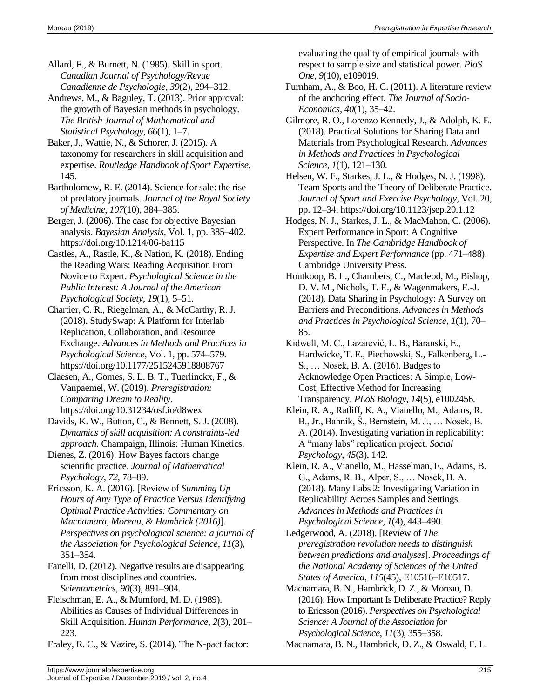[Allard, F., & Burnett, N. \(1985\). Skill in sport.](http://paperpile.com/b/xfh0MJ/EqVj)  *[Canadian Journal of Psychology/Revue](http://paperpile.com/b/xfh0MJ/EqVj)  [Canadienne de Psychologie](http://paperpile.com/b/xfh0MJ/EqVj)*[,](http://paperpile.com/b/xfh0MJ/EqVj) *[39](http://paperpile.com/b/xfh0MJ/EqVj)*[\(2\), 294–312.](http://paperpile.com/b/xfh0MJ/EqVj)

[Andrews, M., & Baguley, T. \(2013\). Prior approval:](http://paperpile.com/b/xfh0MJ/qZSR)  [the growth of Bayesian methods in psychology.](http://paperpile.com/b/xfh0MJ/qZSR)  *[The British Journal of Mathematical and](http://paperpile.com/b/xfh0MJ/qZSR)  [Statistical Psychology](http://paperpile.com/b/xfh0MJ/qZSR)*[,](http://paperpile.com/b/xfh0MJ/qZSR) *[66](http://paperpile.com/b/xfh0MJ/qZSR)*[\(1\), 1–7.](http://paperpile.com/b/xfh0MJ/qZSR)

[Baker, J., Wattie, N., & Schorer, J. \(2015\). A](http://paperpile.com/b/xfh0MJ/h46W)  [taxonomy for researchers in skill acquisition and](http://paperpile.com/b/xfh0MJ/h46W)  [expertise.](http://paperpile.com/b/xfh0MJ/h46W) *[Routledge Handbook of Sport Expertise](http://paperpile.com/b/xfh0MJ/h46W)*[,](http://paperpile.com/b/xfh0MJ/h46W)  [145.](http://paperpile.com/b/xfh0MJ/h46W)

[Bartholomew, R. E. \(2014\). Science for sale: the rise](http://paperpile.com/b/xfh0MJ/qzYv)  [of predatory journals.](http://paperpile.com/b/xfh0MJ/qzYv) *[Journal of the Royal Society](http://paperpile.com/b/xfh0MJ/qzYv)  [of Medicine](http://paperpile.com/b/xfh0MJ/qzYv)*[,](http://paperpile.com/b/xfh0MJ/qzYv) *[107](http://paperpile.com/b/xfh0MJ/qzYv)*[\(10\), 384–385.](http://paperpile.com/b/xfh0MJ/qzYv)

[Berger, J. \(2006\). The case for objective Bayesian](http://paperpile.com/b/xfh0MJ/xo37)  [analysis.](http://paperpile.com/b/xfh0MJ/xo37) *[Bayesian Analysis](http://paperpile.com/b/xfh0MJ/xo37)*[, Vol. 1, pp. 385–402.](http://paperpile.com/b/xfh0MJ/xo37)  [https://doi.org/](http://paperpile.com/b/xfh0MJ/xo37)[10.1214/06-ba115](http://dx.doi.org/10.1214/06-ba115)

[Castles, A., Rastle, K., & Nation, K. \(2018\). Ending](http://paperpile.com/b/xfh0MJ/gc20)  [the Reading Wars: Reading Acquisition](http://paperpile.com/b/xfh0MJ/gc20) From [Novice to Expert.](http://paperpile.com/b/xfh0MJ/gc20) *[Psychological Science in the](http://paperpile.com/b/xfh0MJ/gc20)  [Public Interest: A Journal of the American](http://paperpile.com/b/xfh0MJ/gc20)  [Psychological Society](http://paperpile.com/b/xfh0MJ/gc20)*[,](http://paperpile.com/b/xfh0MJ/gc20) *[19](http://paperpile.com/b/xfh0MJ/gc20)*[\(1\), 5–51.](http://paperpile.com/b/xfh0MJ/gc20)

[Chartier, C. R., Riegelman, A., & McCarthy, R. J.](http://paperpile.com/b/xfh0MJ/AWMb)  [\(2018\). StudySwap: A Platform for Interlab](http://paperpile.com/b/xfh0MJ/AWMb)  [Replication, Collaboration, and Resource](http://paperpile.com/b/xfh0MJ/AWMb)  [Exchange.](http://paperpile.com/b/xfh0MJ/AWMb) *[Advances in Methods and Practices in](http://paperpile.com/b/xfh0MJ/AWMb)  [Psychological Science](http://paperpile.com/b/xfh0MJ/AWMb)*[, Vol. 1, pp. 574–579.](http://paperpile.com/b/xfh0MJ/AWMb)  [https://doi.org/](http://paperpile.com/b/xfh0MJ/AWMb)[10.1177/2515245918808767](http://dx.doi.org/10.1177/2515245918808767)

[Claesen, A., Gomes, S. L. B. T., Tuerlinckx, F., &](http://paperpile.com/b/xfh0MJ/HcIwe)  [Vanpaemel, W. \(2019\).](http://paperpile.com/b/xfh0MJ/HcIwe) *[Preregistration:](http://paperpile.com/b/xfh0MJ/HcIwe)  [Comparing Dream to Reality](http://paperpile.com/b/xfh0MJ/HcIwe)*[.](http://paperpile.com/b/xfh0MJ/HcIwe)  [https://doi.org/](http://paperpile.com/b/xfh0MJ/HcIwe)[10.31234/osf.io/d8wex](http://dx.doi.org/10.31234/osf.io/d8wex)

[Davids, K. W., Button, C., & Bennett, S. J. \(2008\).](http://paperpile.com/b/xfh0MJ/et8W)  *[Dynamics of skill acquisition: A constraints-led](http://paperpile.com/b/xfh0MJ/et8W)  [approach](http://paperpile.com/b/xfh0MJ/et8W)*[. Champaign, Illinois: Human Kinetics.](http://paperpile.com/b/xfh0MJ/et8W)

[Dienes, Z. \(2016\). How Bayes factors change](http://paperpile.com/b/xfh0MJ/G2Tn)  [scientific practice.](http://paperpile.com/b/xfh0MJ/G2Tn) *[Journal of Mathematical](http://paperpile.com/b/xfh0MJ/G2Tn)  [Psychology](http://paperpile.com/b/xfh0MJ/G2Tn)*[,](http://paperpile.com/b/xfh0MJ/G2Tn) *[72](http://paperpile.com/b/xfh0MJ/G2Tn)*[, 78–89.](http://paperpile.com/b/xfh0MJ/G2Tn)

[Ericsson, K. A. \(2016\). \[Review of](http://paperpile.com/b/xfh0MJ/ICDI) *[Summing Up](http://paperpile.com/b/xfh0MJ/ICDI)  [Hours of Any Type of Practice Versus Identifying](http://paperpile.com/b/xfh0MJ/ICDI)  [Optimal Practice Activities: Commentary on](http://paperpile.com/b/xfh0MJ/ICDI)  [Macnamara, Moreau, & Hambrick \(2016\)](http://paperpile.com/b/xfh0MJ/ICDI)*[\].](http://paperpile.com/b/xfh0MJ/ICDI) *[Perspectives on psychological science: a journal of](http://paperpile.com/b/xfh0MJ/ICDI)  [the Association for Psychological Science](http://paperpile.com/b/xfh0MJ/ICDI)*[,](http://paperpile.com/b/xfh0MJ/ICDI) *[11](http://paperpile.com/b/xfh0MJ/ICDI)*[\(3\),](http://paperpile.com/b/xfh0MJ/ICDI)  [351–354.](http://paperpile.com/b/xfh0MJ/ICDI)

[Fanelli, D. \(2012\). Negative results are disappearing](http://paperpile.com/b/xfh0MJ/oTIJ)  [from most disciplines and countries.](http://paperpile.com/b/xfh0MJ/oTIJ)  *[Scientometrics](http://paperpile.com/b/xfh0MJ/oTIJ)*[,](http://paperpile.com/b/xfh0MJ/oTIJ) *[90](http://paperpile.com/b/xfh0MJ/oTIJ)*[\(3\), 891–904.](http://paperpile.com/b/xfh0MJ/oTIJ)

[Fleischman, E. A., & Mumford, M. D. \(1989\).](http://paperpile.com/b/xfh0MJ/WPo5)  [Abilities as Causes of Individual Differences in](http://paperpile.com/b/xfh0MJ/WPo5)  [Skill Acquisition.](http://paperpile.com/b/xfh0MJ/WPo5) *[Human Performance](http://paperpile.com/b/xfh0MJ/WPo5)*[,](http://paperpile.com/b/xfh0MJ/WPo5) *[2](http://paperpile.com/b/xfh0MJ/WPo5)*[\(3\), 201–](http://paperpile.com/b/xfh0MJ/WPo5) [223.](http://paperpile.com/b/xfh0MJ/WPo5)

[Fraley, R. C., & Vazire, S. \(2014\). The N-pact factor:](http://paperpile.com/b/xfh0MJ/1oQ2) 

[evaluating the quality of empirical journals with](http://paperpile.com/b/xfh0MJ/1oQ2)  [respect to sample size and statistical power.](http://paperpile.com/b/xfh0MJ/1oQ2) *[PloS](http://paperpile.com/b/xfh0MJ/1oQ2)  [One](http://paperpile.com/b/xfh0MJ/1oQ2)*[,](http://paperpile.com/b/xfh0MJ/1oQ2) *[9](http://paperpile.com/b/xfh0MJ/1oQ2)*[\(10\), e109019.](http://paperpile.com/b/xfh0MJ/1oQ2)

[Furnham, A., & Boo, H. C. \(2011\). A literature review](http://paperpile.com/b/xfh0MJ/Rxkn)  [of the anchoring effect.](http://paperpile.com/b/xfh0MJ/Rxkn) *[The Journal of Socio-](http://paperpile.com/b/xfh0MJ/Rxkn)[Economics](http://paperpile.com/b/xfh0MJ/Rxkn)*[,](http://paperpile.com/b/xfh0MJ/Rxkn) *[40](http://paperpile.com/b/xfh0MJ/Rxkn)*[\(1\), 35–42.](http://paperpile.com/b/xfh0MJ/Rxkn)

[Gilmore, R. O., Lorenzo Kennedy, J., & Adolph, K. E.](http://paperpile.com/b/xfh0MJ/0PZe)  [\(2018\). Practical Solutions for Sharing Data and](http://paperpile.com/b/xfh0MJ/0PZe)  [Materials from Psychological Research.](http://paperpile.com/b/xfh0MJ/0PZe) *[Advances](http://paperpile.com/b/xfh0MJ/0PZe)  [in Methods and Practices in Psychological](http://paperpile.com/b/xfh0MJ/0PZe)  [Science](http://paperpile.com/b/xfh0MJ/0PZe)*[,](http://paperpile.com/b/xfh0MJ/0PZe) *[1](http://paperpile.com/b/xfh0MJ/0PZe)*[\(1\), 121–130.](http://paperpile.com/b/xfh0MJ/0PZe)

[Helsen, W. F., Starkes, J. L., & Hodges, N. J. \(1998\).](http://paperpile.com/b/xfh0MJ/cTA9)  [Team Sports and the Theory of Deliberate Practice.](http://paperpile.com/b/xfh0MJ/cTA9)  *[Journal of Sport and Exercise Psychology](http://paperpile.com/b/xfh0MJ/cTA9)*[, Vol. 20,](http://paperpile.com/b/xfh0MJ/cTA9)  [pp. 12–34. https://doi.org/](http://paperpile.com/b/xfh0MJ/cTA9)[10.1123/jsep.20.1.12](http://dx.doi.org/10.1123/jsep.20.1.12)

[Hodges, N. J., Starkes, J. L., & MacMahon, C. \(2006\).](http://paperpile.com/b/xfh0MJ/n9S0)  [Expert Performance in Sport: A Cognitive](http://paperpile.com/b/xfh0MJ/n9S0)  [Perspective. In](http://paperpile.com/b/xfh0MJ/n9S0) *[The Cambridge Handbook of](http://paperpile.com/b/xfh0MJ/n9S0)  [Expertise and Expert Performance](http://paperpile.com/b/xfh0MJ/n9S0)* [\(pp. 471–488\).](http://paperpile.com/b/xfh0MJ/n9S0)  [Cambridge University Press.](http://paperpile.com/b/xfh0MJ/n9S0)

[Houtkoop, B. L., Chambers, C., Macleod, M., Bishop,](http://paperpile.com/b/xfh0MJ/3G88)  [D. V. M., Nichols, T. E., & Wagenmakers, E.-J.](http://paperpile.com/b/xfh0MJ/3G88)  [\(2018\). Data Sharing in Psychology: A Survey on](http://paperpile.com/b/xfh0MJ/3G88)  [Barriers and Preconditions.](http://paperpile.com/b/xfh0MJ/3G88) *[Advances in Methods](http://paperpile.com/b/xfh0MJ/3G88)  [and Practices in Psychological Science](http://paperpile.com/b/xfh0MJ/3G88)*[,](http://paperpile.com/b/xfh0MJ/3G88) *[1](http://paperpile.com/b/xfh0MJ/3G88)*[\(1\), 70–](http://paperpile.com/b/xfh0MJ/3G88) [85.](http://paperpile.com/b/xfh0MJ/3G88)

[Kidwell, M. C., Lazarević, L. B., Baranski, E.,](http://paperpile.com/b/xfh0MJ/YGr8)  [Hardwicke, T. E., Piechowski, S., Falkenberg, L.-](http://paperpile.com/b/xfh0MJ/YGr8) [S., … Nosek, B. A. \(2016\). Badges to](http://paperpile.com/b/xfh0MJ/YGr8)  [Acknowledge Open Practices: A Simple, Low-](http://paperpile.com/b/xfh0MJ/YGr8)[Cost, Effective Method for Increasing](http://paperpile.com/b/xfh0MJ/YGr8)  [Transparency.](http://paperpile.com/b/xfh0MJ/YGr8) *[PLoS Biology](http://paperpile.com/b/xfh0MJ/YGr8)*[,](http://paperpile.com/b/xfh0MJ/YGr8) *[14](http://paperpile.com/b/xfh0MJ/YGr8)*[\(5\), e1002456.](http://paperpile.com/b/xfh0MJ/YGr8)

[Klein, R. A., Ratliff, K. A., Vianello, M., Adams, R.](http://paperpile.com/b/xfh0MJ/3v5U)  [B., Jr., Bahník, Š., Bernstein, M. J., … Nosek, B.](http://paperpile.com/b/xfh0MJ/3v5U)  [A. \(2014\). Investigating variation in replicability:](http://paperpile.com/b/xfh0MJ/3v5U)  [A "many labs" replication project.](http://paperpile.com/b/xfh0MJ/3v5U) *[Social](http://paperpile.com/b/xfh0MJ/3v5U)  [Psychology](http://paperpile.com/b/xfh0MJ/3v5U)*[,](http://paperpile.com/b/xfh0MJ/3v5U) *[45](http://paperpile.com/b/xfh0MJ/3v5U)*[\(3\), 142.](http://paperpile.com/b/xfh0MJ/3v5U)

[Klein, R. A., Vianello, M., Hasselman, F., Adams, B.](http://paperpile.com/b/xfh0MJ/W81g)  [G., Adams, R. B., Alper, S., … Nosek, B. A.](http://paperpile.com/b/xfh0MJ/W81g)  [\(2018\). Many Labs 2: Investigating Variation in](http://paperpile.com/b/xfh0MJ/W81g)  [Replicability Across Samples and Settings.](http://paperpile.com/b/xfh0MJ/W81g)  *[Advances in Methods and Practices in](http://paperpile.com/b/xfh0MJ/W81g)  [Psychological Science](http://paperpile.com/b/xfh0MJ/W81g)*[,](http://paperpile.com/b/xfh0MJ/W81g) *[1](http://paperpile.com/b/xfh0MJ/W81g)*[\(4\), 443–490.](http://paperpile.com/b/xfh0MJ/W81g)

[Ledgerwood, A. \(2018\). \[Review of](http://paperpile.com/b/xfh0MJ/qMiN) *[The](http://paperpile.com/b/xfh0MJ/qMiN)  [preregistration revolution needs to distinguish](http://paperpile.com/b/xfh0MJ/qMiN)  [between predictions and analyses](http://paperpile.com/b/xfh0MJ/qMiN)*[\].](http://paperpile.com/b/xfh0MJ/qMiN) *[Proceedings of](http://paperpile.com/b/xfh0MJ/qMiN)  [the National Academy of Sciences of the United](http://paperpile.com/b/xfh0MJ/qMiN)  [States of America](http://paperpile.com/b/xfh0MJ/qMiN)*[,](http://paperpile.com/b/xfh0MJ/qMiN) *[115](http://paperpile.com/b/xfh0MJ/qMiN)*[\(45\), E10516–E10517.](http://paperpile.com/b/xfh0MJ/qMiN)

[Macnamara, B. N., Hambrick, D. Z., & Moreau, D.](http://paperpile.com/b/xfh0MJ/x0BZ)  (2016). How Important Is [Deliberate Practice? Reply](http://paperpile.com/b/xfh0MJ/x0BZ)  [to Ericsson \(2016\).](http://paperpile.com/b/xfh0MJ/x0BZ) *[Perspectives on Psychological](http://paperpile.com/b/xfh0MJ/x0BZ)  [Science: A Journal of the Association for](http://paperpile.com/b/xfh0MJ/x0BZ)  [Psychological Science](http://paperpile.com/b/xfh0MJ/x0BZ)*[,](http://paperpile.com/b/xfh0MJ/x0BZ) *[11](http://paperpile.com/b/xfh0MJ/x0BZ)*[\(3\), 355–358.](http://paperpile.com/b/xfh0MJ/x0BZ)

[Macnamara, B. N., Hambrick, D. Z., & Oswald, F. L.](http://paperpile.com/b/xfh0MJ/CcC1)